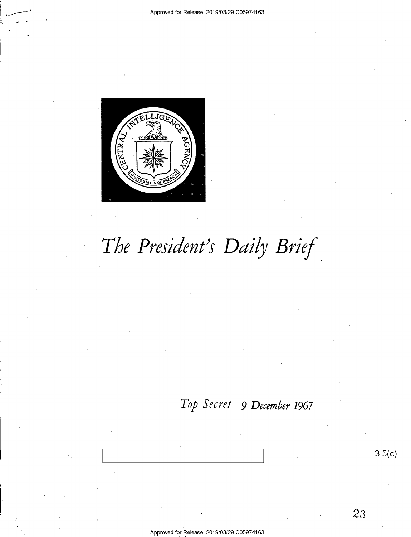

~-

# *The President's Daily Brief.*

### *Top Secret 9 December 1967*

3.5(c)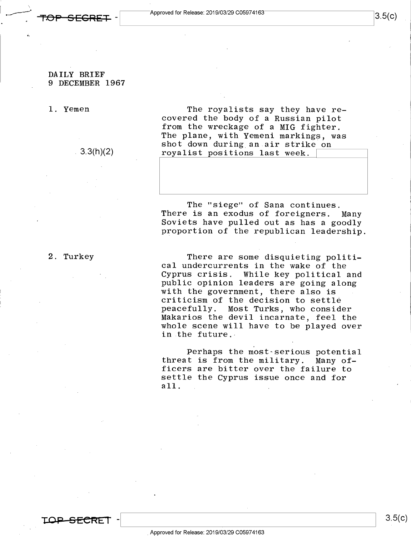#### **DAILY BRIEF 9 DECEMBER 1967**

1. Yemen

3.3(h)(2)

The royalists say they have recovered the body of a Russian pilot from the wreckage of a MIG fighter. The plane, with Yemeni markings, was The plane, with Yemeni markings, was<br>shot down during an air strike on<br>rovalist positions last week royalist positions last week.

The "siege" of Sana continues. There is an exodus of foreigners. Many Soviets have pulled out as has a goodly proportion of the republican leadership.

2. Turkey

There are some disquieting political undercurrents in the wake of the Cyprus crisis. While key political and public opinion leaders are going along with the government, there also is criticism of the decision to settle peacefully. Most Turks, who consider Makarios the devil incarnate, feel the whole scene will have to be played over in the future.

Perhaps the most-serious potential threat is from the military. Many officers are bitter over the failure to settle the Cyprus issue once and for all.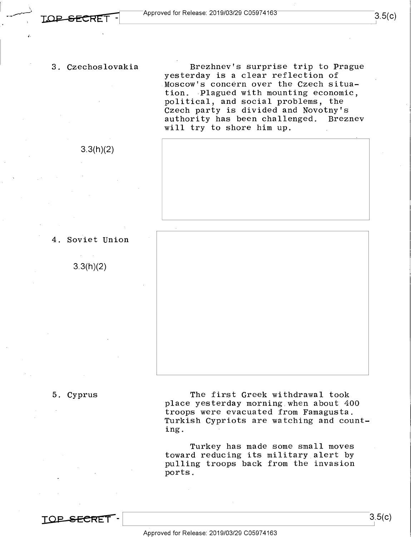3. Czechoslovakia

3.3(h)(2)

Brezhnev's surprise trip to Prague yesterday is a clear reflection of Moscow's concern over the Czech situation. Plagued with mounting economic, political, and social problems, the Czech party is divided and Novotny's authority has been challenged. Breznev will try to shore him up.





3.3(h)(2)



#### 5. Cyprus

The first Greek withdrawal took place yesterday morning when about 400 troops were evacuated from Famagusta. Turkish Cypriots are watching and counting.

Turkey has made some small moves toward reducing its military alert by pulling troops back from the invasion ports.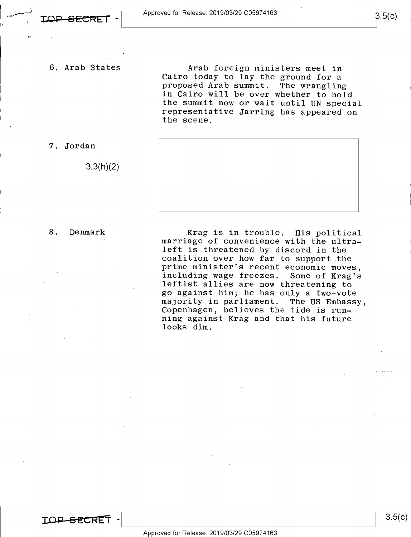6. Arab States

Arab foreign ministers meet in Cairo today to lay the ground for a proposed Arab summit. The wrangling in Cairo will be over whether to hold the summit now or wait until UN special representative Jarring has appeared on the scene.



8. Denmark

7. Jordan

3.3(h)(2)

Krag is in trouble. His political marriage of convenience with the ultraleft is threatened by discord in the coalition over how far to support the prime minister's recent economic moves,<br>including wage freezes. Some of Krag's including wage freezes. leftist allies are now threatening to go against him; he has only a two-vote majority in parliament. The US Embassy, Copenhagen, believes the tide is running against Krag and that his future looks dim.



 $3.5(c)$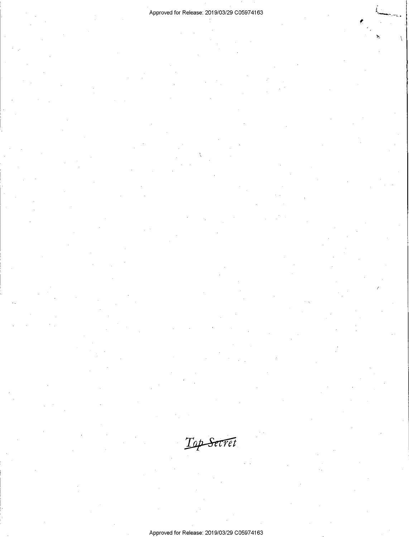#### Approved for Release: 2019/03/29 C0597 4163

 $\overline{1}$ 

Top Secret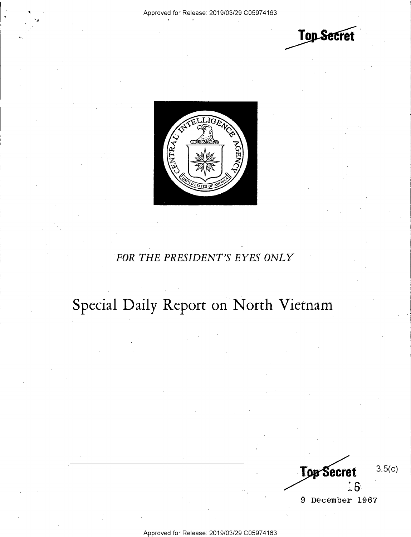**Top Secret** 



### *FOR THE PRESIDENT'S EYES ONLY*

## Special Daily Report on North Vietnam

3.5(c) **Top Secret**  $16$ 

9 December 1967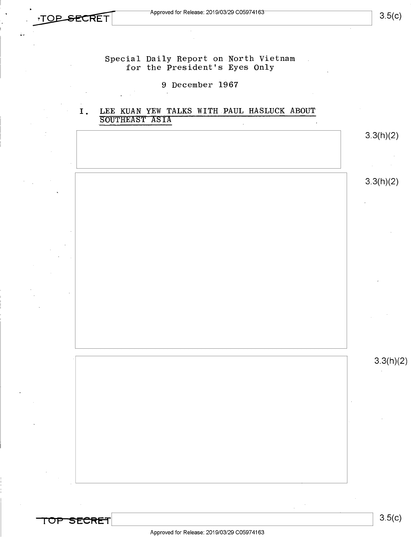3.5(c)

Special Daily Report on North Vietnam for the President's Eyes Only

#### 9 December 1967

#### I. LEE KUAN YEW TALKS WITH PAUL HASLUCK ABOUT SOUTHEAST ASIA

|  | 3.3(h)(2) |
|--|-----------|
|  |           |
|  | 3.3(h)(2) |
|  |           |
|  |           |
|  |           |
|  |           |
|  |           |
|  |           |
|  |           |
|  | 3.3(h)(2) |
|  |           |
|  |           |
|  |           |
|  |           |
|  |           |
|  |           |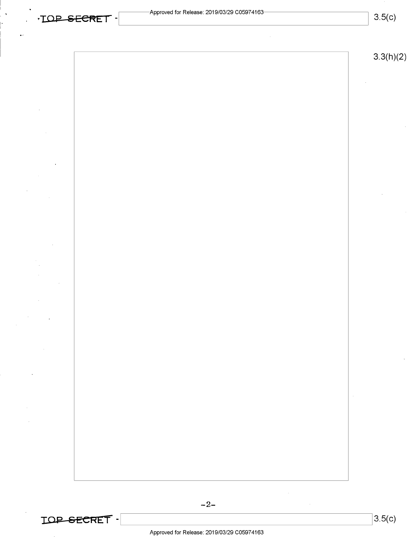**3.5(c)** 



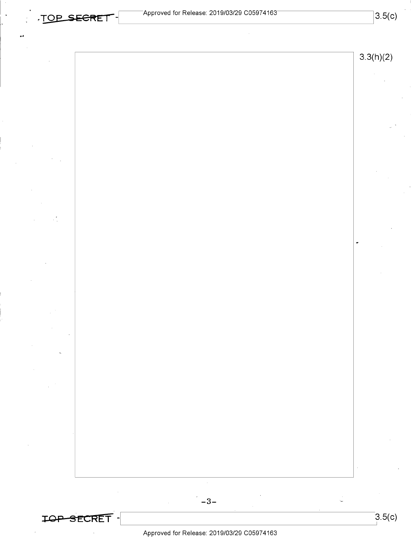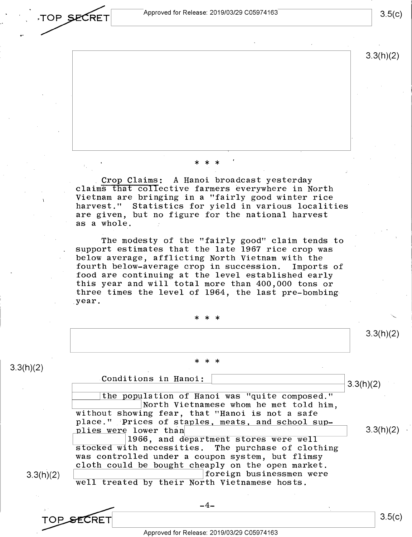**TOP SECRET** Approved for Release: 2019/03/29 C05974163 3.5(c)

3.3(h)(2)

### \* \* \*

Crop Claims: A Hanoi broadcast yesterday claims that collective farmers everywhere in North Vietnam are bringing in a "fairly good winter rice harvest." Statistics for yield in various localities are given, but no figure for the national harvest as a whole.

The modesty of the "fairly good" claim tends to support estimates that the late 1967 rice crop was below average, afflicting North Vietnam with the<br>fourth below-average crop in succession. Imports of fourth below-average crop in succession. food are continuing at the level established early this year and will total more than 400,000 tons or three times the level of 1964, the last pre-bombing .year.

\* \* \*

\* \* \*

3.3(h)(2)

3.3(h)(2) ,-------C\_o\_n\_d\_i\_t\_i\_o\_n\_s\_i\_n\_H\_a\_n\_o\_i\_:-----L\_l **\_\_\_\_\_\_\_\_\_\_\_ ----113.** 3(h )(2) the population of Hanoi was "quite composed." North Vietnamese whom he met told him, without showing fear, that "Hanoi is not a safe place." Prices of staples, meats, and school supplies were lower than 1966, and department stores were well stocked with necessities. The purchase of clothing was controlled under a coupon system, but flimsy cloth could be bought cheaply on the open market. foreign businessmen were well treated by their North Vietnamese hosts.  $3.3(h)(2)$  $\begin{array}{r|l}\n\textbf{TOP} & \textbf{SECTION} \textbf{ECT} \textbf{ \textcolor{red}{ \textbf{SCRET} \textbf{ \textcolor{red}{ \textbf{M} \textbf{ \textcolor{red}{ \textbf{M} \textbf{ \textcolor{red}{ \textbf{M} \textbf{ \textcolor{red}{ \textbf{M} \textbf{ \textcolor{red}{ \textbf{M} \textbf{ \textcolor{red}{ \textbf{M} \textbf{ \textcolor{red}{ \textbf{M} \textbf{ \textcolor{red}{ \textbf{M} \textbf{ \textcolor{red}{ \textbf{M} \textbf{ \textcolor{red}{ \textbf{M} \textbf{ \textcolor{red}{ \textbf{$  $-4-$ 

Approved for Release: 2019/03/29 C0597 4163

3.5(c)

3.3(h)(2)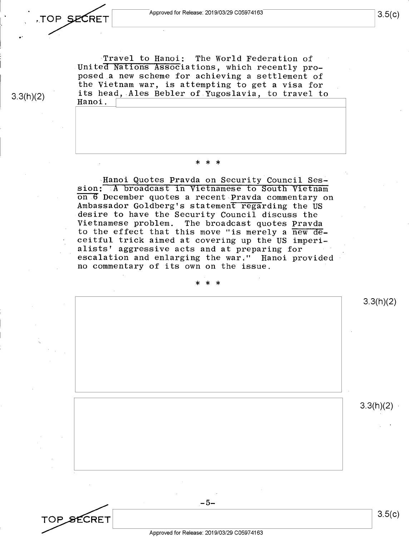.TOP **SECR**ET Approved for Release: 2019/03/29 C05974163<br> **LALL SECRET** 3.

TOP SECRET

Travel to Hanoi: The World Federation of United Nations Associations, which recently proposed a new scheme for achieving a settlement of the Vietnam war, is attempting to get a visa for its head, Ales Bebler of Yugoslavia, to travel to Hanoi.

### \* \* \*

Hanoi Quotes Pravda on Security Council Session: A broadcast in Vietnamese to South Vietnam on 6 December quotes a recent Pravda commentary on Ambassador Goldberg's statement regarding the US desire to have the Security Council discuss the Vietnamese problem. The broadcast quotes Pravda to the effect that this move "is merely a new deceitful trick aimed at covering up the US imperialists' aggressive acts and at preparing for escalation and enlarging the war;" Hanoi provided no commentary of its own on the issue.



3.3(h)(2)

, ..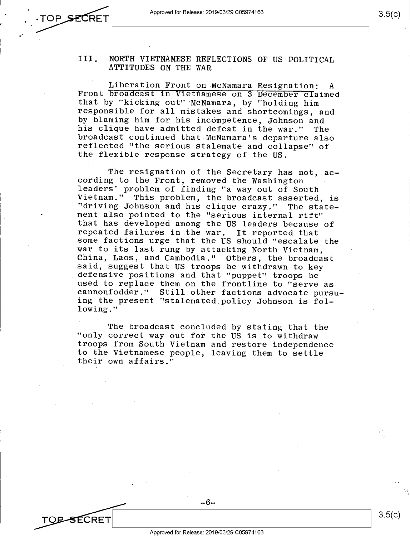3.5(c)

3.5(c)

TO<del>P S</del>ECRET

#### III. NORTH VIETNAMESE REFLECTIONS OF US POLITICAL ATTITUDES ON THE WAR

Liberation Front on McNamara Resignation: <sup>A</sup> Front broadcast in Vietnamese on 3 December claimed that by "kicking out" McNamara, by "holding him responsible for all mistakes and shortcomings, and by blaming him for his incompetence, Johnson and his clique have admitted defeat in the war." The broadcast continued that McNamara's departure also reflected "the serious stalemate and collapse" of the flexible response strategy of the US.

The resignation of the Secretary has not,  $ac$ cording to the Front, removed the Washington leaders' problem of finding "a way out of South Vietnam." This problem, the broadcast asserted, is "driving Johnson and his clique crazy." The statement also pointed to the "serious internal rift" that has developed among the US leaders because of repeated failures in the war. It reported that some factions urge that the US should "escalate the war to its last rung by attacking North Vietnam, China, Laos, and Cambodia." Others, the broadcast said, suggest that US troops be withdrawn to key defensive positions and that "puppet" troops be used to replace them on the frontline to "serve as cannonfodder." Still other factions advocate pursuing the present "stalemated.policy Johnson is following."

The broadcast concluded by stating that the "only correct way out for the US is to withdraw troops from South Vietnam and restore independence to the Vietnamese people, leaving them to settle their own affairs."

-6-